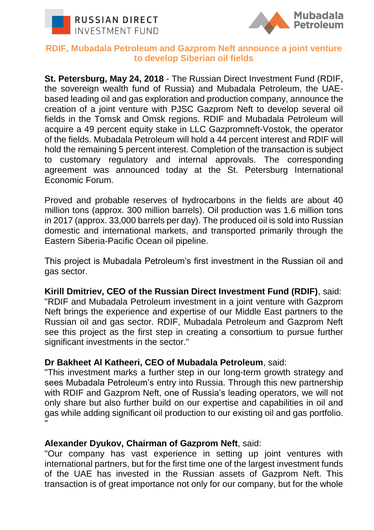



## **RDIF, Mubadala Petroleum and Gazprom Neft announce a joint venture to develop Siberian oil fields**

**St. Petersburg, May 24, 2018** - The Russian Direct Investment Fund (RDIF, the sovereign wealth fund of Russia) and Mubadala Petroleum, the UAEbased leading oil and gas exploration and production company, announce the creation of a joint venture with PJSC Gazprom Neft to develop several oil fields in the Tomsk and Omsk regions. RDIF and Mubadala Petroleum will acquire a 49 percent equity stake in LLC Gazpromneft-Vostok, the operator of the fields. Mubadala Petroleum will hold a 44 percent interest and RDIF will hold the remaining 5 percent interest. Completion of the transaction is subject to customary regulatory and internal approvals. The corresponding agreement was announced today at the St. Petersburg International Economic Forum.

Proved and probable reserves of hydrocarbons in the fields are about 40 million tons (approx. 300 million barrels). Oil production was 1.6 million tons in 2017 (approx. 33,000 barrels per day). The produced oil is sold into Russian domestic and international markets, and transported primarily through the Eastern Siberia-Pacific Ocean oil pipeline.

This project is Mubadala Petroleum's first investment in the Russian oil and gas sector.

## **Kirill Dmitriev, CEO of the Russian Direct Investment Fund (RDIF)**, said:

"RDIF and Mubadala Petroleum investment in a joint venture with Gazprom Neft brings the experience and expertise of our Middle East partners to the Russian oil and gas sector. RDIF, Mubadala Petroleum and Gazprom Neft see this project as the first step in creating a consortium to pursue further significant investments in the sector."

## **Dr Bakheet Al Katheeri, CEO of Mubadala Petroleum**, said:

"This investment marks a further step in our long-term growth strategy and sees Mubadala Petroleum's entry into Russia. Through this new partnership with RDIF and Gazprom Neft, one of Russia's leading operators, we will not only share but also further build on our expertise and capabilities in oil and gas while adding significant oil production to our existing oil and gas portfolio. "

## **Alexander Dyukov, Chairman of Gazprom Neft**, said:

"Our company has vast experience in setting up joint ventures with international partners, but for the first time one of the largest investment funds of the UAE has invested in the Russian assets of Gazprom Neft. This transaction is of great importance not only for our company, but for the whole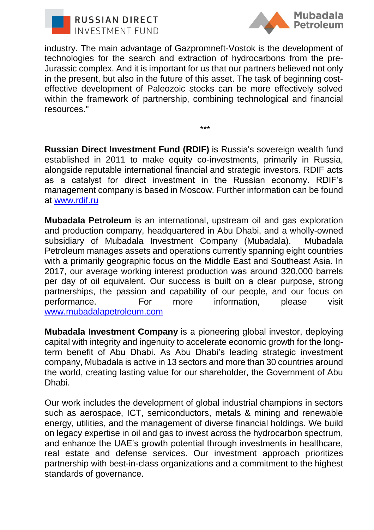



industry. The main advantage of Gazpromneft-Vostok is the development of technologies for the search and extraction of hydrocarbons from the pre-Jurassic complex. And it is important for us that our partners believed not only in the present, but also in the future of this asset. The task of beginning costeffective development of Paleozoic stocks can be more effectively solved within the framework of partnership, combining technological and financial resources."

\*\*\*

**Russian Direct Investment Fund (RDIF)** is Russia's sovereign wealth fund established in 2011 to make equity co-investments, primarily in Russia, alongside reputable international financial and strategic investors. RDIF acts as a catalyst for direct investment in the Russian economy. RDIF's management company is based in Moscow. Further information can be found at [www.rdif.ru](http://www.rdif.ru/)

**Mubadala Petroleum** is an international, upstream oil and gas exploration and production company, headquartered in Abu Dhabi, and a wholly-owned subsidiary of Mubadala Investment Company (Mubadala). Mubadala Petroleum manages assets and operations currently spanning eight countries with a primarily geographic focus on the Middle East and Southeast Asia. In 2017, our average working interest production was around 320,000 barrels per day of oil equivalent. Our success is built on a clear purpose, strong partnerships, the passion and capability of our people, and our focus on performance. For more information, please visit [www.mubadalapetroleum.com](http://www.mubadalapetroleum.com/)

**Mubadala Investment Company** is a pioneering global investor, deploying capital with integrity and ingenuity to accelerate economic growth for the longterm benefit of Abu Dhabi. As Abu Dhabi's leading strategic investment company, Mubadala is active in 13 sectors and more than 30 countries around the world, creating lasting value for our shareholder, the Government of Abu Dhabi.

Our work includes the development of global industrial champions in sectors such as aerospace, ICT, semiconductors, metals & mining and renewable energy, utilities, and the management of diverse financial holdings. We build on legacy expertise in oil and gas to invest across the hydrocarbon spectrum, and enhance the UAE's growth potential through investments in healthcare, real estate and defense services. Our investment approach prioritizes partnership with best-in-class organizations and a commitment to the highest standards of governance.